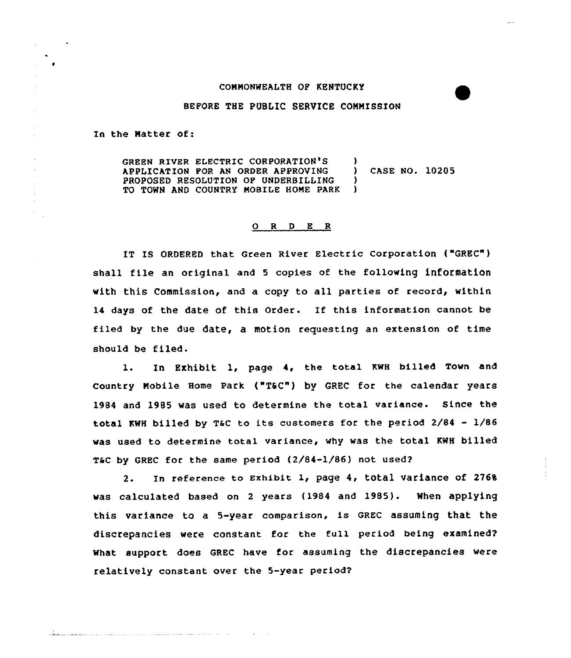## COMMONWEALTH OF KENTUCKY

## BEFORE THE PUBLIC SERVICE COMMISSION

In the Natter of:

 $\langle \cdot \rangle$ 

GREEN RIVER ELECTRIC CORPORATION'S )<br>Application for an order approving ) APPLICATION FOR AN ORDER APPROVING ) CASE NO. 10205 PROPOSED RESOLUTION OF UNDERBILLING )<br>TO TOWN AND COUNTRY MOBILE HOME PARK ) TO TOWN AND COUNTRY MOBILE HOME PARK

## 0 <sup>R</sup> <sup>D</sup> E <sup>R</sup>

IT IS ORDERED that Green River Electric Corporation ("GREC" ) shall file an original and <sup>5</sup> copies of the following information with this Commission, and a copy to all parties of record, within <sup>14</sup> days of the date of this Order. If this information cannot be filed by the due date, a motion requesting an extension of time should be filed.

1. In Exhibit 1, page 4, the total KWH billed Town and country Mobile Home Park ("T&C") by GREC for the calendar years 1984 and 1985 was used to determine the total variance. Since the total KwH billed by T&c to its customers for the period 2/84 - 1/86 was used to determine total variance, why was the total KWH billed T&C by GREC for the same period (2/84-1/86) not used?

2. In reference to Exhibit 1, page 4, total variance of 2768 was calculated based on <sup>2</sup> years (1984 and 1985). When applying this variance to a 5-year comparison, is GREC assuming that the discrepancies were constant for the full period being examined? What support does GREC have for assuming the discrepancies were relatively constant over the 5-year period?